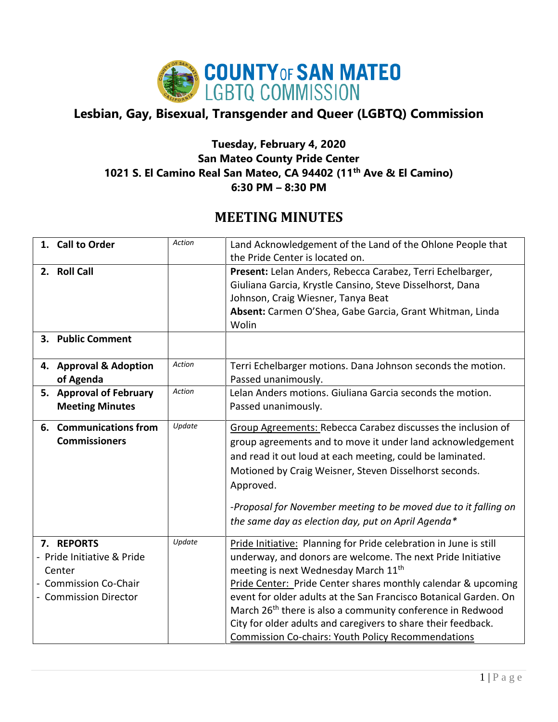

## **Lesbian, Gay, Bisexual, Transgender and Queer (LGBTQ) Commission**

## **Tuesday, February 4, 2020 San Mateo County Pride Center 1021 S. El Camino Real San Mateo, CA 94402 (11th Ave & El Camino) 6:30 PM – 8:30 PM**

## **MEETING MINUTES**

| 1. Call to Order                                                                                          | Action | Land Acknowledgement of the Land of the Ohlone People that                                                                                                                                                                                                                                                                                                                                                                                                                                                                        |
|-----------------------------------------------------------------------------------------------------------|--------|-----------------------------------------------------------------------------------------------------------------------------------------------------------------------------------------------------------------------------------------------------------------------------------------------------------------------------------------------------------------------------------------------------------------------------------------------------------------------------------------------------------------------------------|
|                                                                                                           |        | the Pride Center is located on.                                                                                                                                                                                                                                                                                                                                                                                                                                                                                                   |
| 2. Roll Call                                                                                              |        | Present: Lelan Anders, Rebecca Carabez, Terri Echelbarger,<br>Giuliana Garcia, Krystle Cansino, Steve Disselhorst, Dana<br>Johnson, Craig Wiesner, Tanya Beat<br>Absent: Carmen O'Shea, Gabe Garcia, Grant Whitman, Linda<br>Wolin                                                                                                                                                                                                                                                                                                |
| 3. Public Comment                                                                                         |        |                                                                                                                                                                                                                                                                                                                                                                                                                                                                                                                                   |
| 4. Approval & Adoption<br>of Agenda                                                                       | Action | Terri Echelbarger motions. Dana Johnson seconds the motion.<br>Passed unanimously.                                                                                                                                                                                                                                                                                                                                                                                                                                                |
| 5. Approval of February<br><b>Meeting Minutes</b>                                                         | Action | Lelan Anders motions. Giuliana Garcia seconds the motion.<br>Passed unanimously.                                                                                                                                                                                                                                                                                                                                                                                                                                                  |
| 6. Communications from<br><b>Commissioners</b>                                                            | Update | Group Agreements: Rebecca Carabez discusses the inclusion of<br>group agreements and to move it under land acknowledgement<br>and read it out loud at each meeting, could be laminated.<br>Motioned by Craig Weisner, Steven Disselhorst seconds.<br>Approved.<br>-Proposal for November meeting to be moved due to it falling on<br>the same day as election day, put on April Agenda*                                                                                                                                           |
| 7. REPORTS<br>- Pride Initiative & Pride<br>Center<br><b>Commission Co-Chair</b><br>- Commission Director | Update | Pride Initiative: Planning for Pride celebration in June is still<br>underway, and donors are welcome. The next Pride Initiative<br>meeting is next Wednesday March 11 <sup>th</sup><br>Pride Center: Pride Center shares monthly calendar & upcoming<br>event for older adults at the San Francisco Botanical Garden. On<br>March 26 <sup>th</sup> there is also a community conference in Redwood<br>City for older adults and caregivers to share their feedback.<br><b>Commission Co-chairs: Youth Policy Recommendations</b> |